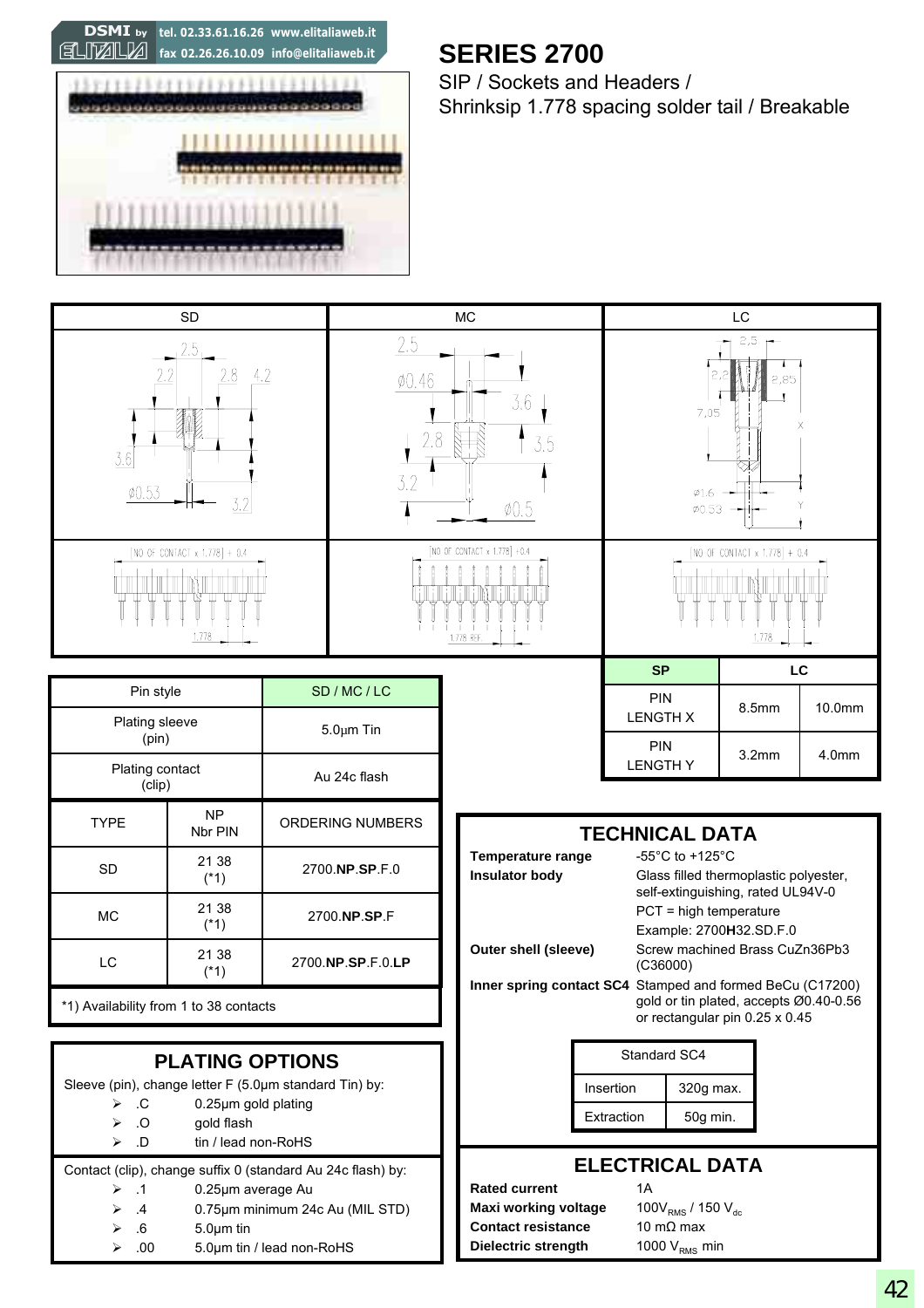**fax 02.26.26.10.09 info@elitaliaweb.it DSMI by tel. 02.33.61.16.26 www.elitaliaweb.it**



## **SERIES 2700**

SIP / Sockets and Headers / Shrinksip 1.778 spacing solder tail / Breakable

| <b>SD</b>                                                                                                                                                                                                         |                      |                         | <b>MC</b>                                                                                                                                                                                                   |                                                           |                                               | LC                                                                                       |           |                                                                          |        |
|-------------------------------------------------------------------------------------------------------------------------------------------------------------------------------------------------------------------|----------------------|-------------------------|-------------------------------------------------------------------------------------------------------------------------------------------------------------------------------------------------------------|-----------------------------------------------------------|-----------------------------------------------|------------------------------------------------------------------------------------------|-----------|--------------------------------------------------------------------------|--------|
| 2.5<br>2.8<br>2.2<br>4.2<br>3.6<br>Ø0.53<br>3.2                                                                                                                                                                   |                      |                         | 2.5<br>$\emptyset$ 0.46<br>3.6<br>2.8<br>3.5<br>3.2<br>$\phi$ 0.5                                                                                                                                           |                                                           |                                               | 2,5<br>2,85<br>7,05<br>X<br>$\emptyset$ 1.6<br>Ø0.53                                     |           |                                                                          |        |
| [NO OF CONTACT x 1.778] + 0.4<br>1.778                                                                                                                                                                            |                      |                         | [NO OF CONTACT x 1.778] +0.4<br>1.778 REF.                                                                                                                                                                  |                                                           | [NO OF CONTACT $\times$ 1.778] + 0.4<br>1,778 |                                                                                          |           |                                                                          |        |
|                                                                                                                                                                                                                   |                      |                         |                                                                                                                                                                                                             |                                                           |                                               | <b>SP</b>                                                                                |           |                                                                          | LC     |
| Pin style<br>Plating sleeve                                                                                                                                                                                       |                      |                         | SD / MC / LC<br>$5.0 \mu m$ Tin                                                                                                                                                                             |                                                           |                                               | PIN<br><b>LENGTH X</b>                                                                   |           | 8.5mm                                                                    | 10.0mm |
|                                                                                                                                                                                                                   | (pin)                |                         |                                                                                                                                                                                                             |                                                           |                                               | PIN                                                                                      |           | 3.2 <sub>mm</sub>                                                        | 4.0mm  |
| Plating contact<br>(clip)                                                                                                                                                                                         |                      | Au 24c flash            |                                                                                                                                                                                                             |                                                           |                                               | <b>LENGTHY</b>                                                                           |           |                                                                          |        |
| <b>TYPE</b>                                                                                                                                                                                                       | <b>NP</b><br>Nbr PIN | <b>ORDERING NUMBERS</b> |                                                                                                                                                                                                             | <b>TECHNICAL DATA</b>                                     |                                               |                                                                                          |           |                                                                          |        |
| <b>SD</b>                                                                                                                                                                                                         | 21 38<br>$(*1)$      | 2700.NP.SP.F.0          |                                                                                                                                                                                                             | Temperature range<br><b>Insulator body</b>                |                                               | -55 $^{\circ}$ C to +125 $^{\circ}$ C<br>Glass filled thermoplastic polyester,           |           |                                                                          |        |
| <b>MC</b>                                                                                                                                                                                                         | 21 38<br>$(*1)$      |                         | 2700.NP.SP.F                                                                                                                                                                                                |                                                           |                                               | self-extinguishing, rated UL94V-0<br>$PCT = high temperature$<br>Example: 2700H32.SD.F.0 |           |                                                                          |        |
| LC                                                                                                                                                                                                                | 21 38<br>$(*1)$      |                         | Outer shell (sleeve)<br>2700.NP.SP.F.0.LP                                                                                                                                                                   |                                                           |                                               | Screw machined Brass CuZn36Pb3<br>(C36000)                                               |           |                                                                          |        |
| *1) Availability from 1 to 38 contacts                                                                                                                                                                            |                      |                         |                                                                                                                                                                                                             | Inner spring contact SC4 Stamped and formed BeCu (C17200) |                                               |                                                                                          |           | gold or tin plated, accepts Ø0.40-0.56<br>or rectangular pin 0.25 x 0.45 |        |
| <b>PLATING OPTIONS</b>                                                                                                                                                                                            |                      |                         |                                                                                                                                                                                                             | Standard SC4                                              |                                               |                                                                                          |           |                                                                          |        |
| Sleeve (pin), change letter F (5.0µm standard Tin) by:                                                                                                                                                            |                      |                         |                                                                                                                                                                                                             |                                                           |                                               | Insertion                                                                                | 320g max. |                                                                          |        |
| 0.25µm gold plating<br>.C<br>➤<br>$\overline{O}$<br>gold flash<br>⋗<br>tin / lead non-RoHS<br>$\Box$<br>⋗                                                                                                         |                      |                         |                                                                                                                                                                                                             |                                                           | Extraction                                    | 50g min.                                                                                 |           |                                                                          |        |
| Contact (clip), change suffix 0 (standard Au 24c flash) by:<br>$\cdot$ .1<br>0.25µm average Au<br>⋗<br>0.75µm minimum 24c Au (MIL STD)<br>$\cdot$<br>5.0µm tin<br>$.6\,$<br>5.0µm tin / lead non-RoHS<br>.00<br>➤ |                      |                         | <b>ELECTRICAL DATA</b><br>1A<br><b>Rated current</b><br>Maxi working voltage<br>100 $V_{RMS}$ / 150 $V_{dc}$<br><b>Contact resistance</b><br>10 m $\Omega$ max<br>Dielectric strength<br>1000 $V_{RMS}$ min |                                                           |                                               |                                                                                          |           |                                                                          |        |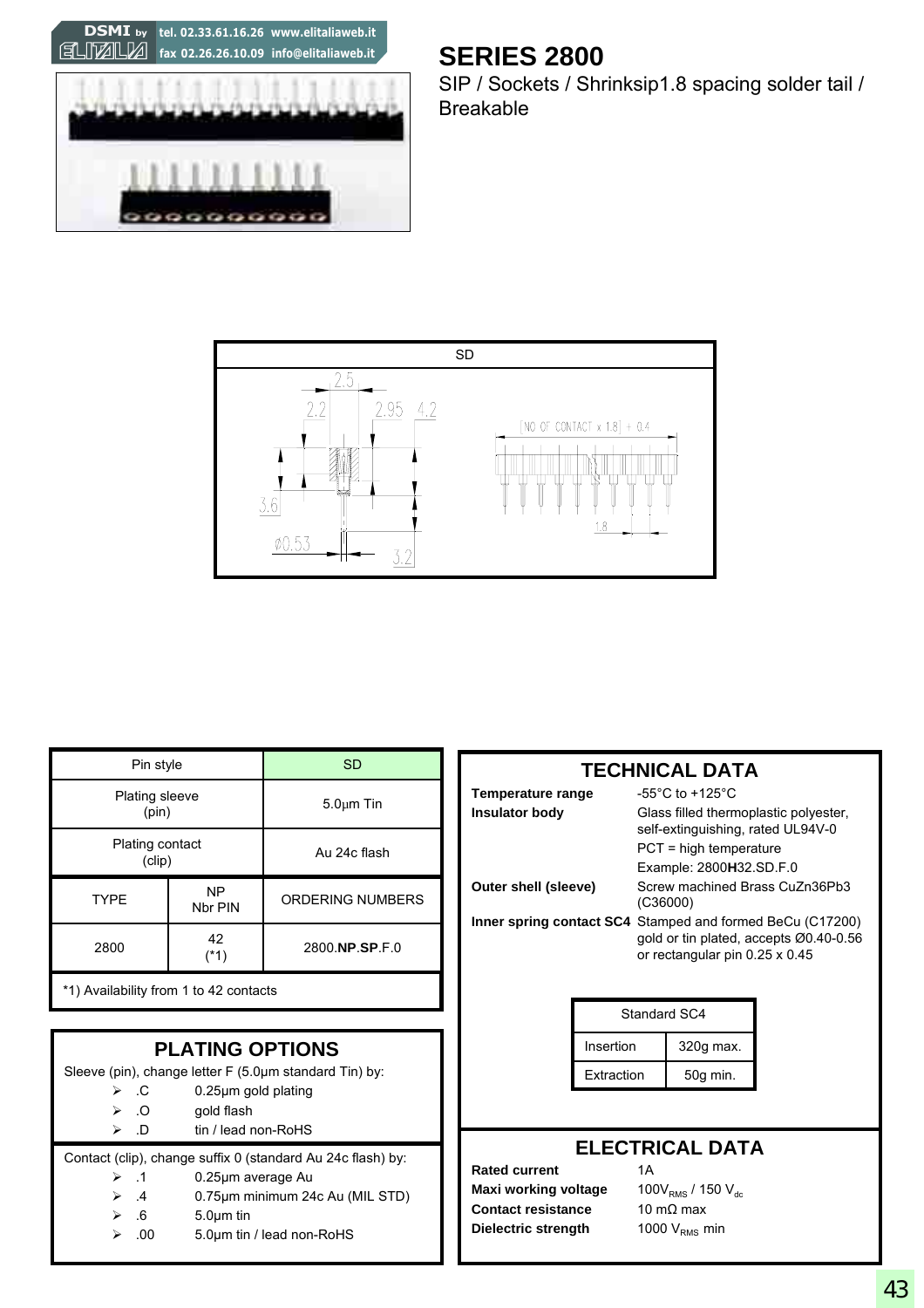

### **SERIES 2800**

SIP / Sockets / Shrinksip1.8 spacing solder tail / Breakable



| Pin style                              |               | <b>SD</b>               |  |  |
|----------------------------------------|---------------|-------------------------|--|--|
| <b>Plating sleeve</b><br>(pin)         |               | $5.0 \mu m$ Tin         |  |  |
| Plating contact<br>(clip)              |               | Au 24c flash            |  |  |
| <b>TYPE</b>                            | NP<br>Nbr PIN | <b>ORDERING NUMBERS</b> |  |  |
| 2800                                   | 42<br>(*1)    | 2800.NP.SP.F.0          |  |  |
| *1) Availability from 1 to 42 contacts |               |                         |  |  |

| <b>PLATING OPTIONS</b>                                      |                                                                                                                                                                                                                                                                                                                                                                           |  |  |  |  |
|-------------------------------------------------------------|---------------------------------------------------------------------------------------------------------------------------------------------------------------------------------------------------------------------------------------------------------------------------------------------------------------------------------------------------------------------------|--|--|--|--|
| Sleeve (pin), change letter F (5.0µm standard Tin) by:      |                                                                                                                                                                                                                                                                                                                                                                           |  |  |  |  |
| $\triangleright$ . C                                        | $0.25 \mu m$ gold plating                                                                                                                                                                                                                                                                                                                                                 |  |  |  |  |
| $\triangleright$ 0                                          | gold flash                                                                                                                                                                                                                                                                                                                                                                |  |  |  |  |
| $\Box$<br>⋗                                                 | tin / lead non-RoHS                                                                                                                                                                                                                                                                                                                                                       |  |  |  |  |
| Contact (clip), change suffix 0 (standard Au 24c flash) by: |                                                                                                                                                                                                                                                                                                                                                                           |  |  |  |  |
|                                                             | $\bigcap_{i=1}^{n} \bigcap_{i=1}^{n} \bigcap_{i=1}^{n} \bigcap_{i=1}^{n} \bigcap_{i=1}^{n} \bigcap_{i=1}^{n} \bigcap_{i=1}^{n} \bigcap_{i=1}^{n} \bigcap_{i=1}^{n} \bigcap_{i=1}^{n} \bigcap_{i=1}^{n} \bigcap_{i=1}^{n} \bigcap_{i=1}^{n} \bigcap_{i=1}^{n} \bigcap_{i=1}^{n} \bigcap_{i=1}^{n} \bigcap_{i=1}^{n} \bigcap_{i=1}^{n} \bigcap_{i=1}^{n} \bigcap_{i=1}^{n}$ |  |  |  |  |

- ¾ .1 0.25µm average Au
- ¾ .4 0.75µm minimum 24c Au (MIL STD)
	- $\geqslant$  .6 5.0 $\mu$ m tin
	- $\geq 0.00$  5.0µm tin / lead non-RoHS

| <b>TECHNICAL DATA</b> |                                                                                                                                       |  |  |  |
|-----------------------|---------------------------------------------------------------------------------------------------------------------------------------|--|--|--|
| Temperature range     | -55°C to +125°C                                                                                                                       |  |  |  |
| <b>Insulator body</b> | Glass filled thermoplastic polyester,<br>self-extinguishing, rated UL94V-0                                                            |  |  |  |
|                       | $PCT = high$ temperature                                                                                                              |  |  |  |
|                       | Example: 2800H32.SD.F.0                                                                                                               |  |  |  |
| Outer shell (sleeve)  | Screw machined Brass CuZn36Pb3<br>(C36000)                                                                                            |  |  |  |
|                       | Inner spring contact SC4 Stamped and formed BeCu (C17200)<br>gold or tin plated, accepts 00.40-0.56<br>or rectangular pin 0.25 x 0.45 |  |  |  |

| Standard SC4 |           |  |  |  |
|--------------|-----------|--|--|--|
| Insertion    | 320g max. |  |  |  |
| Extraction   | 50g min.  |  |  |  |

#### **ELECTRICAL DATA**

**Rated current** 1A **Maxi working voltage** 100V<sub>RMS</sub> / 150 V<sub>dc</sub> **Contact resistance** 10 mΩ max **Dielectric strength** 1000 V<sub>RMS</sub> min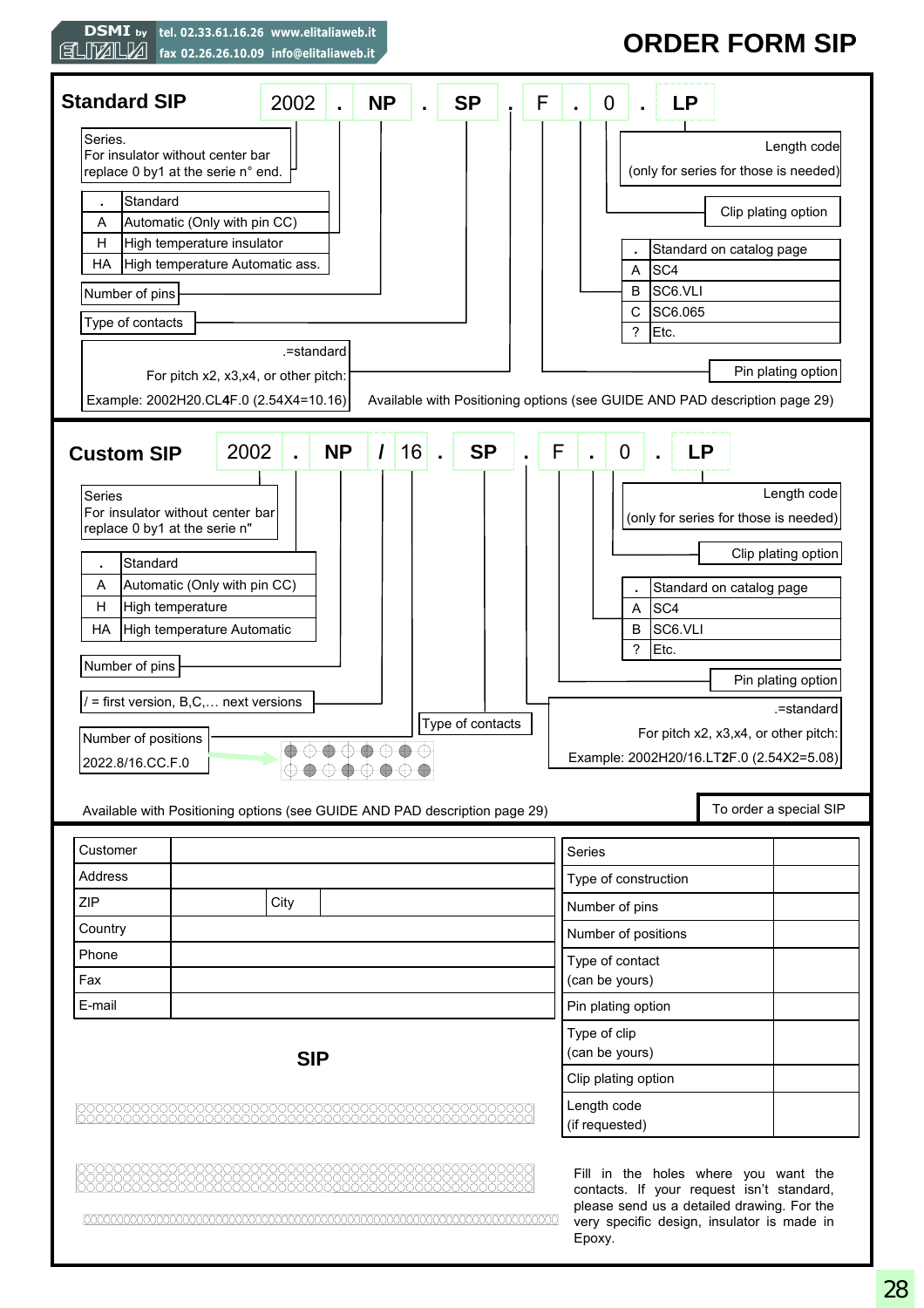

## **ORDER FORM SIP**